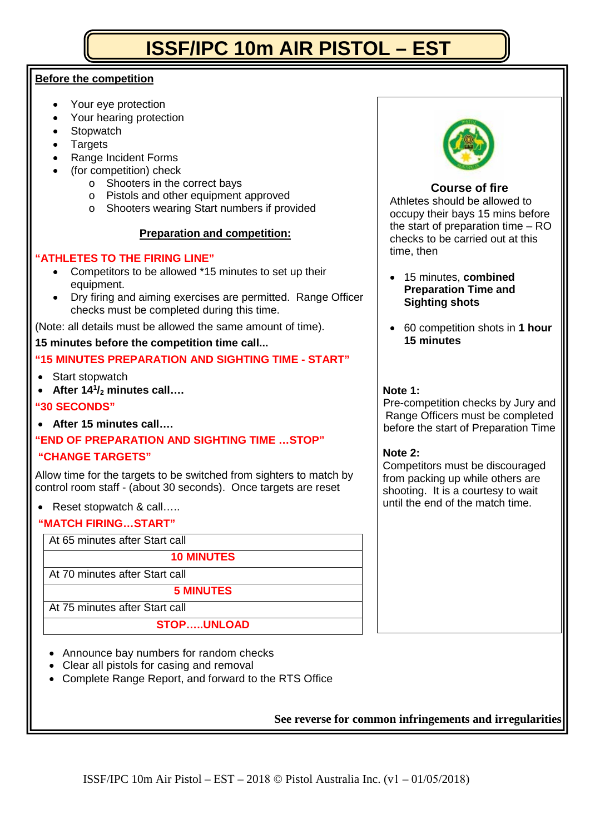# **ISSF/IPC 10m AIR PISTOL – EST**

# **Before the competition**

- Your eye protection
- Your hearing protection
- **Stopwatch**
- **Targets**
- Range Incident Forms
- (for competition) check
	- o Shooters in the correct bays
	- o Pistols and other equipment approved
	- o Shooters wearing Start numbers if provided

# **Preparation and competition:**

# **"ATHLETES TO THE FIRING LINE"**

- Competitors to be allowed \*15 minutes to set up their equipment.
- Dry firing and aiming exercises are permitted. Range Officer checks must be completed during this time.

(Note: all details must be allowed the same amount of time).

# **15 minutes before the competition time call...**

# **"15 MINUTES PREPARATION AND SIGHTING TIME - START"**

- Start stopwatch
- **After 141 /2 minutes call….**

# **"30 SECONDS"**

• **After 15 minutes call….**

# **"END OF PREPARATION AND SIGHTING TIME …STOP" "CHANGE TARGETS"**

Allow time for the targets to be switched from sighters to match by control room staff - (about 30 seconds). Once targets are reset

# • Reset stopwatch & call…..

# **"MATCH FIRING…START"**

At 65 minutes after Start call **10 MINUTES** At 70 minutes after Start call **5 MINUTES** At 75 minutes after Start call

# **STOP…..UNLOAD**

- Announce bay numbers for random checks
- Clear all pistols for casing and removal
- Complete Range Report, and forward to the RTS Office



# **Course of fire**

Athletes should be allowed to occupy their bays 15 mins before the start of preparation time – RO checks to be carried out at this time, then

- 15 minutes, **combined Preparation Time and Sighting shots**
- 60 competition shots in **1 hour 15 minutes**

## **Note 1:**

Pre-competition checks by Jury and Range Officers must be completed before the start of Preparation Time

## **Note 2:**

Competitors must be discouraged from packing up while others are shooting. It is a courtesy to wait until the end of the match time.

**See reverse for common infringements and irregularities**